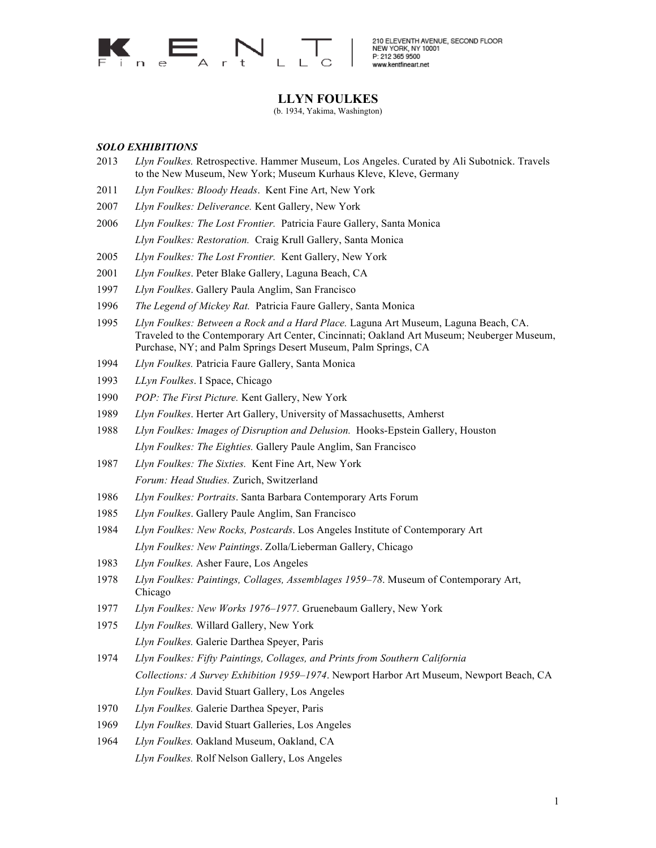

# **LLYN FOULKES**

(b. 1934, Yakima, Washington)

#### *SOLO EXHIBITIONS*

- 2013 *Llyn Foulkes.* Retrospective. Hammer Museum, Los Angeles. Curated by Ali Subotnick. Travels to the New Museum, New York; Museum Kurhaus Kleve, Kleve, Germany
- 2011 *Llyn Foulkes: Bloody Heads*. Kent Fine Art, New York
- 2007 *Llyn Foulkes: Deliverance.* Kent Gallery, New York
- 2006 *Llyn Foulkes: The Lost Frontier.* Patricia Faure Gallery, Santa Monica *Llyn Foulkes: Restoration.* Craig Krull Gallery, Santa Monica
- 2005 *Llyn Foulkes: The Lost Frontier.* Kent Gallery, New York
- 2001 *Llyn Foulkes*. Peter Blake Gallery, Laguna Beach, CA
- 1997 *Llyn Foulkes*. Gallery Paula Anglim, San Francisco
- 1996 *The Legend of Mickey Rat.* Patricia Faure Gallery, Santa Monica
- 1995 *Llyn Foulkes: Between a Rock and a Hard Place.* Laguna Art Museum, Laguna Beach, CA. Traveled to the Contemporary Art Center, Cincinnati; Oakland Art Museum; Neuberger Museum, Purchase, NY; and Palm Springs Desert Museum, Palm Springs, CA
- 1994 *Llyn Foulkes.* Patricia Faure Gallery, Santa Monica
- 1993 *LLyn Foulkes*. I Space, Chicago
- 1990 *POP: The First Picture.* Kent Gallery, New York
- 1989 *Llyn Foulkes*. Herter Art Gallery, University of Massachusetts, Amherst
- 1988 *Llyn Foulkes: Images of Disruption and Delusion.* Hooks-Epstein Gallery, Houston *Llyn Foulkes: The Eighties.* Gallery Paule Anglim, San Francisco
- 1987 *Llyn Foulkes: The Sixties.* Kent Fine Art, New York *Forum: Head Studies.* Zurich, Switzerland
- 1986 *Llyn Foulkes: Portraits*. Santa Barbara Contemporary Arts Forum
- 1985 *Llyn Foulkes*. Gallery Paule Anglim, San Francisco
- 1984 *Llyn Foulkes: New Rocks, Postcards*. Los Angeles Institute of Contemporary Art *Llyn Foulkes: New Paintings*. Zolla/Lieberman Gallery, Chicago
- 1983 *Llyn Foulkes.* Asher Faure, Los Angeles
- 1978 *Llyn Foulkes: Paintings, Collages, Assemblages 1959–78*. Museum of Contemporary Art, Chicago
- 1977 *Llyn Foulkes: New Works 1976–1977.* Gruenebaum Gallery, New York
- 1975 *Llyn Foulkes.* Willard Gallery, New York *Llyn Foulkes.* Galerie Darthea Speyer, Paris
- 1974 *Llyn Foulkes: Fifty Paintings, Collages, and Prints from Southern California Collections: A Survey Exhibition 1959–1974*. Newport Harbor Art Museum, Newport Beach, CA *Llyn Foulkes.* David Stuart Gallery, Los Angeles
- 1970 *Llyn Foulkes.* Galerie Darthea Speyer, Paris
- 1969 *Llyn Foulkes.* David Stuart Galleries, Los Angeles
- 1964 *Llyn Foulkes.* Oakland Museum, Oakland, CA *Llyn Foulkes.* Rolf Nelson Gallery, Los Angeles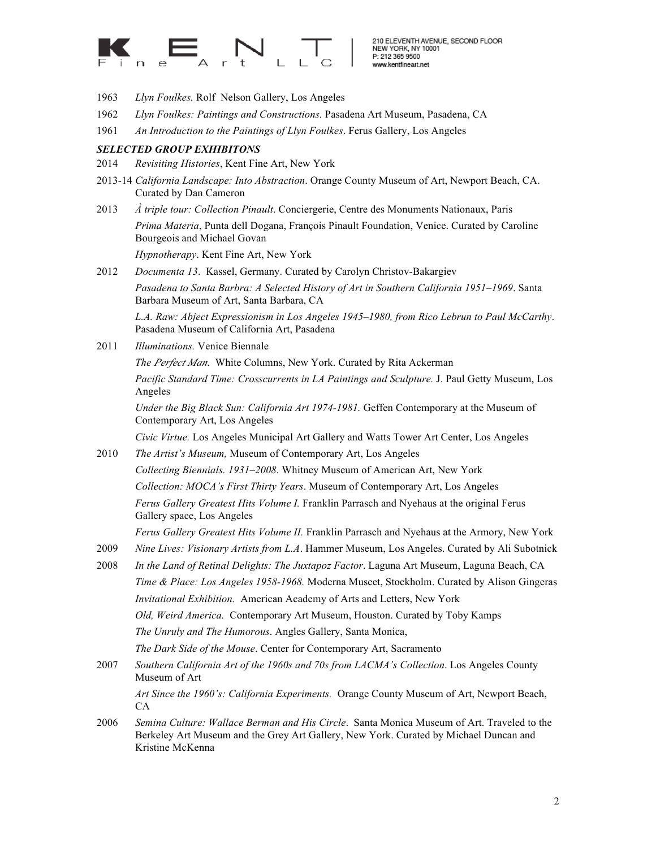

- 1963 *Llyn Foulkes.* Rolf Nelson Gallery, Los Angeles
- 1962 *Llyn Foulkes: Paintings and Constructions.* Pasadena Art Museum, Pasadena, CA
- 1961 *An Introduction to the Paintings of Llyn Foulkes*. Ferus Gallery, Los Angeles

## *SELECTED GROUP EXHIBITONS*

CA

- 2014 *Revisiting Histories*, Kent Fine Art, New York
- 2013-14 *California Landscape: Into Abstraction*. Orange County Museum of Art, Newport Beach, CA. Curated by Dan Cameron
- 2013 *À triple tour: Collection Pinault*. Conciergerie, Centre des Monuments Nationaux, Paris *Prima Materia*, Punta dell Dogana, François Pinault Foundation, Venice. Curated by Caroline Bourgeois and Michael Govan

*Hypnotherapy*. Kent Fine Art, New York

2012 *Documenta 13*. Kassel, Germany. Curated by Carolyn Christov-Bakargiev

*Pasadena to Santa Barbra: A Selected History of Art in Southern California 1951–1969*. Santa Barbara Museum of Art, Santa Barbara, CA

*L.A. Raw: Abject Expressionism in Los Angeles 1945–1980, from Rico Lebrun to Paul McCarthy*. Pasadena Museum of California Art, Pasadena

- 2011 *Illuminations.* Venice Biennale *The Perfect Man*. White Columns, New York. Curated by Rita Ackerman *Pacific Standard Time: Crosscurrents in LA Paintings and Sculpture.* J. Paul Getty Museum, Los Angeles *Under the Big Black Sun: California Art 1974-1981.* Geffen Contemporary at the Museum of Contemporary Art, Los Angeles *Civic Virtue.* Los Angeles Municipal Art Gallery and Watts Tower Art Center, Los Angeles
- 2010 *The Artist's Museum,* Museum of Contemporary Art, Los Angeles *Collecting Biennials. 1931–2008*. Whitney Museum of American Art, New York *Collection: MOCA's First Thirty Years*. Museum of Contemporary Art, Los Angeles *Ferus Gallery Greatest Hits Volume I.* Franklin Parrasch and Nyehaus at the original Ferus Gallery space, Los Angeles *Ferus Gallery Greatest Hits Volume II.* Franklin Parrasch and Nyehaus at the Armory, New York 2009 *Nine Lives: Visionary Artists from L.A*. Hammer Museum, Los Angeles. Curated by Ali Subotnick
- 2008 *In the Land of Retinal Delights: The Juxtapoz Factor*. Laguna Art Museum, Laguna Beach, CA *Time & Place: Los Angeles 1958-1968.* Moderna Museet, Stockholm. Curated by Alison Gingeras *Invitational Exhibition.* American Academy of Arts and Letters, New York *Old, Weird America.* Contemporary Art Museum, Houston. Curated by Toby Kamps *The Unruly and The Humorous*. Angles Gallery, Santa Monica, *The Dark Side of the Mouse*. Center for Contemporary Art, Sacramento
- 2007 *Southern California Art of the 1960s and 70s from LACMA's Collection*. Los Angeles County Museum of Art *Art Since the 1960's: California Experiments.* Orange County Museum of Art, Newport Beach,
- 2006 *Semina Culture: Wallace Berman and His Circle*. Santa Monica Museum of Art. Traveled to the Berkeley Art Museum and the Grey Art Gallery, New York. Curated by Michael Duncan and Kristine McKenna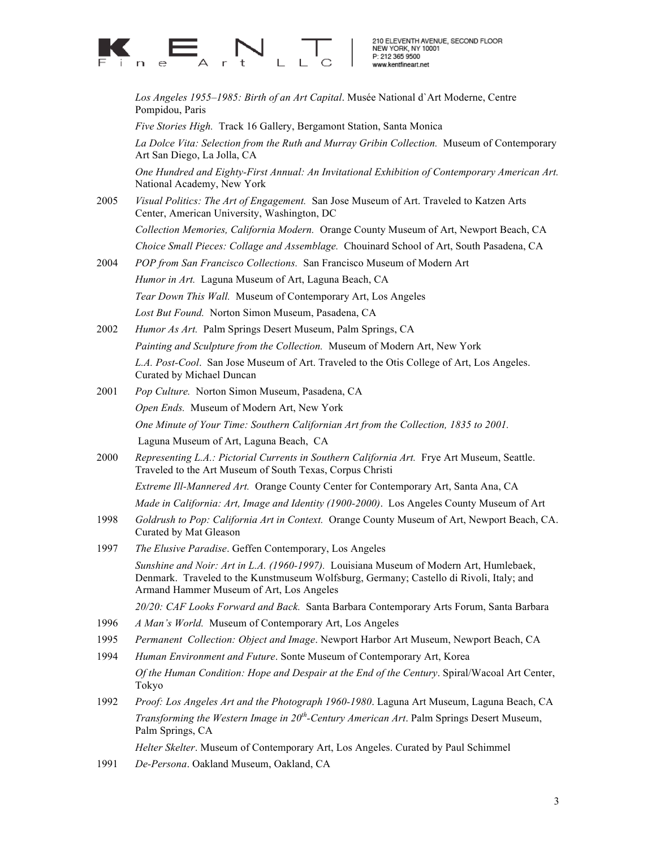

*Los Angeles 1955–1985: Birth of an Art Capital*. Musée National d`Art Moderne, Centre Pompidou, Paris

*Five Stories High.* Track 16 Gallery, Bergamont Station, Santa Monica

*La Dolce Vita: Selection from the Ruth and Murray Gribin Collection.* Museum of Contemporary Art San Diego, La Jolla, CA

*One Hundred and Eighty-First Annual: An Invitational Exhibition of Contemporary American Art.*  National Academy, New York

- 2005 *Visual Politics: The Art of Engagement.* San Jose Museum of Art. Traveled to Katzen Arts Center, American University, Washington, DC *Collection Memories, California Modern.* Orange County Museum of Art, Newport Beach, CA *Choice Small Pieces: Collage and Assemblage.* Chouinard School of Art, South Pasadena, CA
- 2004 *POP from San Francisco Collections.* San Francisco Museum of Modern Art *Humor in Art.* Laguna Museum of Art, Laguna Beach, CA *Tear Down This Wall.* Museum of Contemporary Art, Los Angeles *Lost But Found.* Norton Simon Museum, Pasadena, CA
- 2002 *Humor As Art.* Palm Springs Desert Museum, Palm Springs, CA *Painting and Sculpture from the Collection.* Museum of Modern Art, New York *L.A. Post-Cool*. San Jose Museum of Art. Traveled to the Otis College of Art, Los Angeles. Curated by Michael Duncan
- 2001 *Pop Culture.* Norton Simon Museum, Pasadena, CA *Open Ends.* Museum of Modern Art, New York *One Minute of Your Time: Southern Californian Art from the Collection, 1835 to 2001.* Laguna Museum of Art, Laguna Beach, CA
- 2000 *Representing L.A.: Pictorial Currents in Southern California Art.* Frye Art Museum, Seattle. Traveled to the Art Museum of South Texas, Corpus Christi *Extreme Ill-Mannered Art.* Orange County Center for Contemporary Art, Santa Ana, CA *Made in California: Art, Image and Identity (1900-2000)*. Los Angeles County Museum of Art
- 1998 *Goldrush to Pop: California Art in Context.* Orange County Museum of Art, Newport Beach, CA. Curated by Mat Gleason
- 1997 *The Elusive Paradise*. Geffen Contemporary, Los Angeles *Sunshine and Noir: Art in L.A. (1960-1997).* Louisiana Museum of Modern Art, Humlebaek, Denmark. Traveled to the Kunstmuseum Wolfsburg, Germany; Castello di Rivoli, Italy; and Armand Hammer Museum of Art, Los Angeles *20/20: CAF Looks Forward and Back.* Santa Barbara Contemporary Arts Forum, Santa Barbara
- 1996 *A Man's World.* Museum of Contemporary Art, Los Angeles
- 1995 *Permanent Collection: Object and Image*. Newport Harbor Art Museum, Newport Beach, CA
- 1994 *Human Environment and Future*. Sonte Museum of Contemporary Art, Korea *Of the Human Condition: Hope and Despair at the End of the Century*. Spiral/Wacoal Art Center, Tokyo
- 1992 *Proof: Los Angeles Art and the Photograph 1960-1980*. Laguna Art Museum, Laguna Beach, CA *Transforming the Western Image in 20th-Century American Art*. Palm Springs Desert Museum, Palm Springs, CA

*Helter Skelter*. Museum of Contemporary Art, Los Angeles. Curated by Paul Schimmel

1991 *De-Persona*. Oakland Museum, Oakland, CA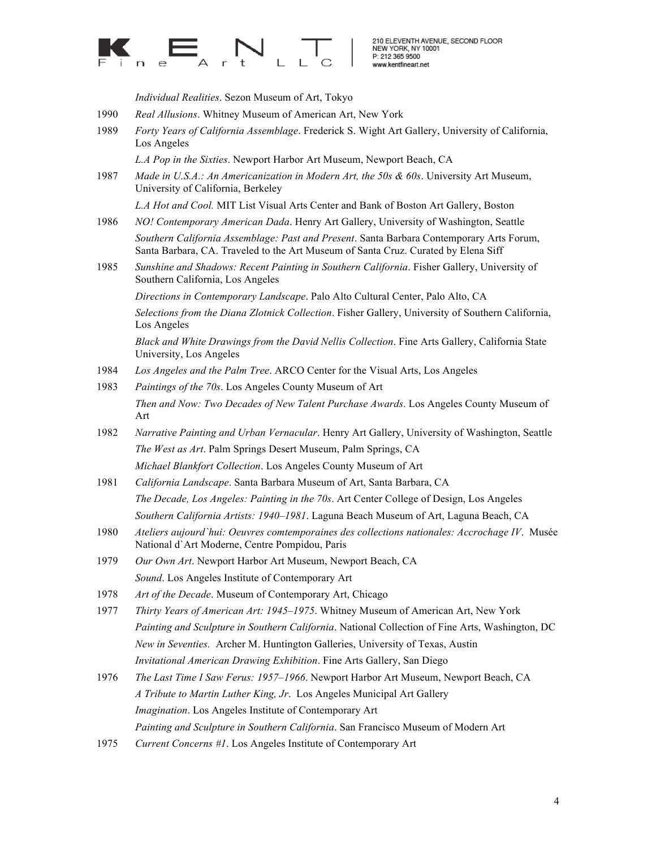

*Individual Realities*. Sezon Museum of Art, Tokyo

- 1990 *Real Allusions*. Whitney Museum of American Art, New York
- 1989 *Forty Years of California Assemblage*. Frederick S. Wight Art Gallery, University of California, Los Angeles

*L.A Pop in the Sixties*. Newport Harbor Art Museum, Newport Beach, CA

1987 *Made in U.S.A.: An Americanization in Modern Art, the 50s & 60s*. University Art Museum, University of California, Berkeley

*L.A Hot and Cool.* MIT List Visual Arts Center and Bank of Boston Art Gallery, Boston

- 1986 *NO! Contemporary American Dada*. Henry Art Gallery, University of Washington, Seattle *Southern California Assemblage: Past and Present*. Santa Barbara Contemporary Arts Forum, Santa Barbara, CA. Traveled to the Art Museum of Santa Cruz. Curated by Elena Siff
- 1985 *Sunshine and Shadows: Recent Painting in Southern California*. Fisher Gallery, University of Southern California, Los Angeles

*Directions in Contemporary Landscape*. Palo Alto Cultural Center, Palo Alto, CA

*Selections from the Diana Zlotnick Collection*. Fisher Gallery, University of Southern California, Los Angeles

*Black and White Drawings from the David Nellis Collection*. Fine Arts Gallery, California State University, Los Angeles

- 1984 *Los Angeles and the Palm Tree*. ARCO Center for the Visual Arts, Los Angeles
- 1983 *Paintings of the 70s*. Los Angeles County Museum of Art *Then and Now: Two Decades of New Talent Purchase Awards*. Los Angeles County Museum of Art
- 1982 *Narrative Painting and Urban Vernacular*. Henry Art Gallery, University of Washington, Seattle *The West as Art*. Palm Springs Desert Museum, Palm Springs, CA *Michael Blankfort Collection*. Los Angeles County Museum of Art
- 1981 *California Landscape*. Santa Barbara Museum of Art, Santa Barbara, CA *The Decade, Los Angeles: Painting in the 70s*. Art Center College of Design, Los Angeles *Southern California Artists: 1940–1981*. Laguna Beach Museum of Art, Laguna Beach, CA
- 1980 *Ateliers aujourd`hui: Oeuvres comtemporaines des collections nationales: Accrochage IV*. Musée National d`Art Moderne, Centre Pompidou, Paris
- 1979 *Our Own Art*. Newport Harbor Art Museum, Newport Beach, CA *Sound*. Los Angeles Institute of Contemporary Art
- 1978 *Art of the Decade*. Museum of Contemporary Art, Chicago
- 1977 *Thirty Years of American Art: 1945–1975*. Whitney Museum of American Art, New York *Painting and Sculpture in Southern California*. National Collection of Fine Arts, Washington, DC *New in Seventies.* Archer M. Huntington Galleries, University of Texas, Austin *Invitational American Drawing Exhibition*. Fine Arts Gallery, San Diego
- 1976 *The Last Time I Saw Ferus: 1957–1966*. Newport Harbor Art Museum, Newport Beach, CA *A Tribute to Martin Luther King, Jr*. Los Angeles Municipal Art Gallery *Imagination*. Los Angeles Institute of Contemporary Art *Painting and Sculpture in Southern California*. San Francisco Museum of Modern Art
- 1975 *Current Concerns #1*. Los Angeles Institute of Contemporary Art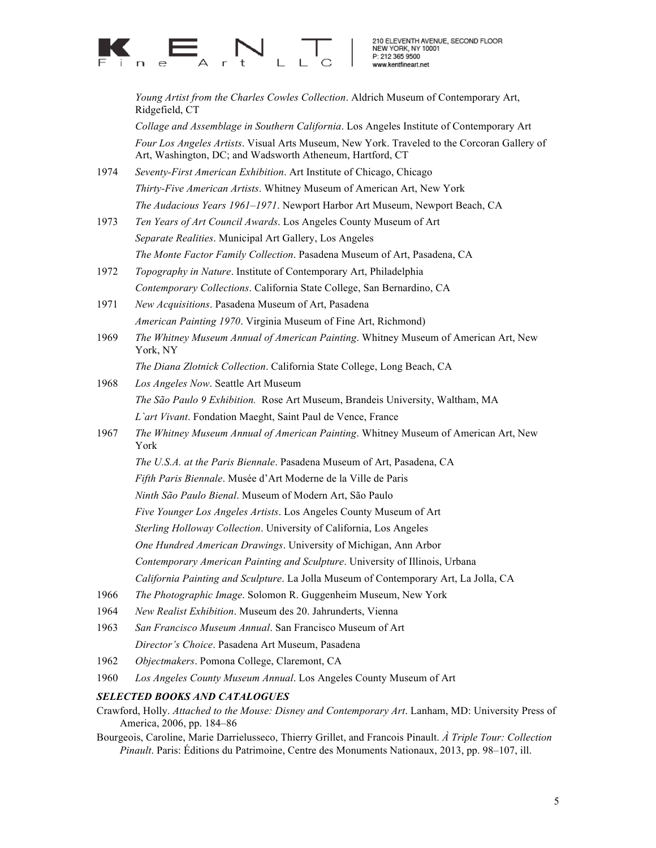

*Young Artist from the Charles Cowles Collection*. Aldrich Museum of Contemporary Art, Ridgefield, CT *Collage and Assemblage in Southern California*. Los Angeles Institute of Contemporary Art *Four Los Angeles Artists*. Visual Arts Museum, New York. Traveled to the Corcoran Gallery of Art, Washington, DC; and Wadsworth Atheneum, Hartford, CT 1974 *Seventy-First American Exhibition*. Art Institute of Chicago, Chicago *Thirty-Five American Artists*. Whitney Museum of American Art, New York *The Audacious Years 1961–1971*. Newport Harbor Art Museum, Newport Beach, CA 1973 *Ten Years of Art Council Awards*. Los Angeles County Museum of Art *Separate Realities*. Municipal Art Gallery, Los Angeles *The Monte Factor Family Collection*. Pasadena Museum of Art, Pasadena, CA 1972 *Topography in Nature*. Institute of Contemporary Art, Philadelphia *Contemporary Collections*. California State College, San Bernardino, CA 1971 *New Acquisitions*. Pasadena Museum of Art, Pasadena *American Painting 1970*. Virginia Museum of Fine Art, Richmond) 1969 *The Whitney Museum Annual of American Painting*. Whitney Museum of American Art, New York, NY *The Diana Zlotnick Collection*. California State College, Long Beach, CA 1968 *Los Angeles Now*. Seattle Art Museum *The São Paulo 9 Exhibition.* Rose Art Museum, Brandeis University, Waltham, MA *L`art Vivant*. Fondation Maeght, Saint Paul de Vence, France 1967 *The Whitney Museum Annual of American Painting*. Whitney Museum of American Art, New York *The U.S.A. at the Paris Biennale*. Pasadena Museum of Art, Pasadena, CA *Fifth Paris Biennale*. Musée d'Art Moderne de la Ville de Paris *Ninth São Paulo Bienal*. Museum of Modern Art, São Paulo *Five Younger Los Angeles Artists*. Los Angeles County Museum of Art *Sterling Holloway Collection*. University of California, Los Angeles *One Hundred American Drawings*. University of Michigan, Ann Arbor *Contemporary American Painting and Sculpture*. University of Illinois, Urbana *California Painting and Sculpture*. La Jolla Museum of Contemporary Art, La Jolla, CA 1966 *The Photographic Image*. Solomon R. Guggenheim Museum, New York 1964 *New Realist Exhibition*. Museum des 20. Jahrunderts, Vienna 1963 *San Francisco Museum Annual*. San Francisco Museum of Art *Director's Choice*. Pasadena Art Museum, Pasadena

- 1962 *Objectmakers*. Pomona College, Claremont, CA
- 1960 *Los Angeles County Museum Annual*. Los Angeles County Museum of Art

## *SELECTED BOOKS AND CATALOGUES*

- Crawford, Holly. *Attached to the Mouse: Disney and Contemporary Art*. Lanham, MD: University Press of America, 2006, pp. 184–86
- Bourgeois, Caroline, Marie Darrielusseco, Thierry Grillet, and Francois Pinault. *À Triple Tour: Collection Pinault*. Paris: Éditions du Patrimoine, Centre des Monuments Nationaux, 2013, pp. 98–107, ill.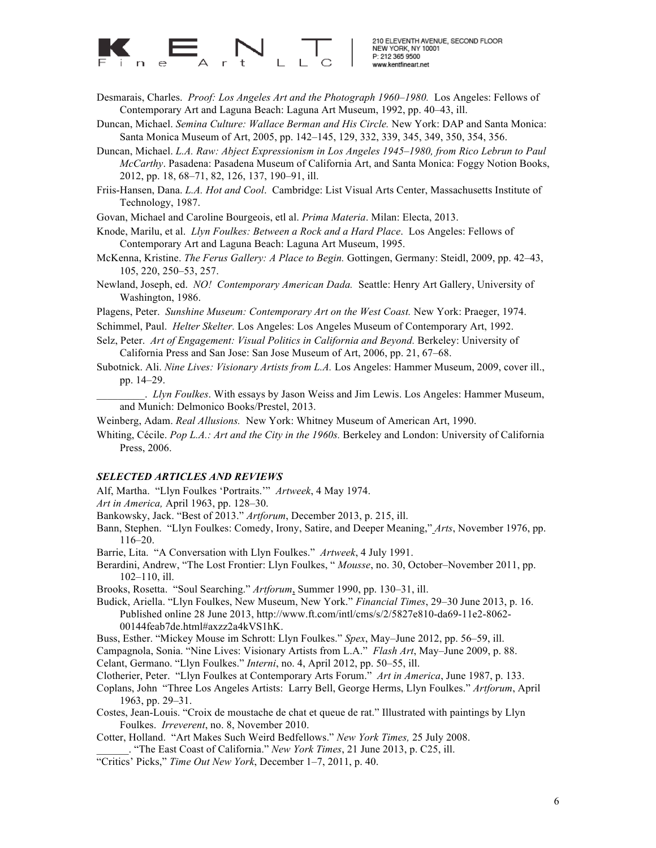

- Desmarais, Charles. *Proof: Los Angeles Art and the Photograph 1960–1980.* Los Angeles: Fellows of Contemporary Art and Laguna Beach: Laguna Art Museum, 1992, pp. 40*–*43, ill.
- Duncan, Michael. *Semina Culture: Wallace Berman and His Circle.* New York: DAP and Santa Monica: Santa Monica Museum of Art, 2005, pp. 142–145, 129, 332, 339, 345, 349, 350, 354, 356.
- Duncan, Michael. *L.A. Raw: Abject Expressionism in Los Angeles 1945–1980, from Rico Lebrun to Paul McCarthy*. Pasadena: Pasadena Museum of California Art, and Santa Monica: Foggy Notion Books, 2012, pp. 18, 68*–*71, 82, 126, 137, 190–91, ill.
- Friis-Hansen, Dana. *L.A. Hot and Cool*. Cambridge: List Visual Arts Center, Massachusetts Institute of Technology, 1987.

Govan, Michael and Caroline Bourgeois, etl al. *Prima Materia*. Milan: Electa, 2013.

- Knode, Marilu, et al. *Llyn Foulkes: Between a Rock and a Hard Place*. Los Angeles: Fellows of Contemporary Art and Laguna Beach: Laguna Art Museum, 1995.
- McKenna, Kristine. *The Ferus Gallery: A Place to Begin.* Gottingen, Germany: Steidl, 2009, pp. 42–43, 105, 220, 250–53, 257.
- Newland, Joseph, ed. *NO! Contemporary American Dada.* Seattle: Henry Art Gallery, University of Washington, 1986.
- Plagens, Peter. *Sunshine Museum: Contemporary Art on the West Coast.* New York: Praeger, 1974.
- Schimmel, Paul. *Helter Skelter.* Los Angeles: Los Angeles Museum of Contemporary Art, 1992.
- Selz, Peter. *Art of Engagement: Visual Politics in California and Beyond.* Berkeley: University of California Press and San Jose: San Jose Museum of Art, 2006, pp. 21, 67–68.
- Subotnick. Ali. *Nine Lives: Visionary Artists from L.A.* Los Angeles: Hammer Museum, 2009, cover ill., pp. 14–29.
- \_\_\_\_\_\_\_\_\_. *Llyn Foulkes*. With essays by Jason Weiss and Jim Lewis. Los Angeles: Hammer Museum, and Munich: Delmonico Books/Prestel, 2013.
- Weinberg, Adam. *Real Allusions.* New York: Whitney Museum of American Art, 1990.
- Whiting, Cécile. *Pop L.A.: Art and the City in the 1960s.* Berkeley and London: University of California Press, 2006.

#### *SELECTED ARTICLES AND REVIEWS*

- Alf, Martha. "Llyn Foulkes 'Portraits.'" *Artweek*, 4 May 1974.
- *Art in America,* April 1963, pp. 128–30.
- Bankowsky, Jack. "Best of 2013." *Artforum*, December 2013, p. 215, ill.
- Bann, Stephen. "Llyn Foulkes: Comedy, Irony, Satire, and Deeper Meaning," *Arts*, November 1976, pp. 116–20.
- Barrie, Lita. "A Conversation with Llyn Foulkes." *Artweek*, 4 July 1991.
- Berardini, Andrew, "The Lost Frontier: Llyn Foulkes, " *Mousse*, no. 30, October–November 2011, pp. 102–110, ill.

Brooks, Rosetta. "Soul Searching." *Artforum*, Summer 1990, pp. 130–31, ill.

Budick, Ariella. "Llyn Foulkes, New Museum, New York." *Financial Times*, 29–30 June 2013, p. 16. Published online 28 June 2013, http://www.ft.com/intl/cms/s/2/5827e810-da69-11e2-8062- 00144feab7de.html#axzz2a4kVS1hK.

Buss, Esther. "Mickey Mouse im Schrott: Llyn Foulkes." *Spex*, May–June 2012, pp. 56–59, ill.

Campagnola, Sonia. "Nine Lives: Visionary Artists from L.A." *Flash Art*, May–June 2009, p. 88.

Celant, Germano. "Llyn Foulkes." *Interni*, no. 4, April 2012, pp. 50–55, ill.

- Clotherier, Peter. "Llyn Foulkes at Contemporary Arts Forum." *Art in America*, June 1987, p. 133.
- Coplans, John "Three Los Angeles Artists: Larry Bell, George Herms, Llyn Foulkes." *Artforum*, April 1963, pp. 29–31.
- Costes, Jean-Louis. "Croix de moustache de chat et queue de rat." Illustrated with paintings by Llyn Foulkes. *Irreverent*, no. 8, November 2010.
- Cotter, Holland. "Art Makes Such Weird Bedfellows." *New York Times,* 25 July 2008.
- \_\_\_\_\_\_. "The East Coast of California." *New York Times*, 21 June 2013, p. C25, ill.
- "Critics' Picks," *Time Out New York*, December 1–7, 2011, p. 40.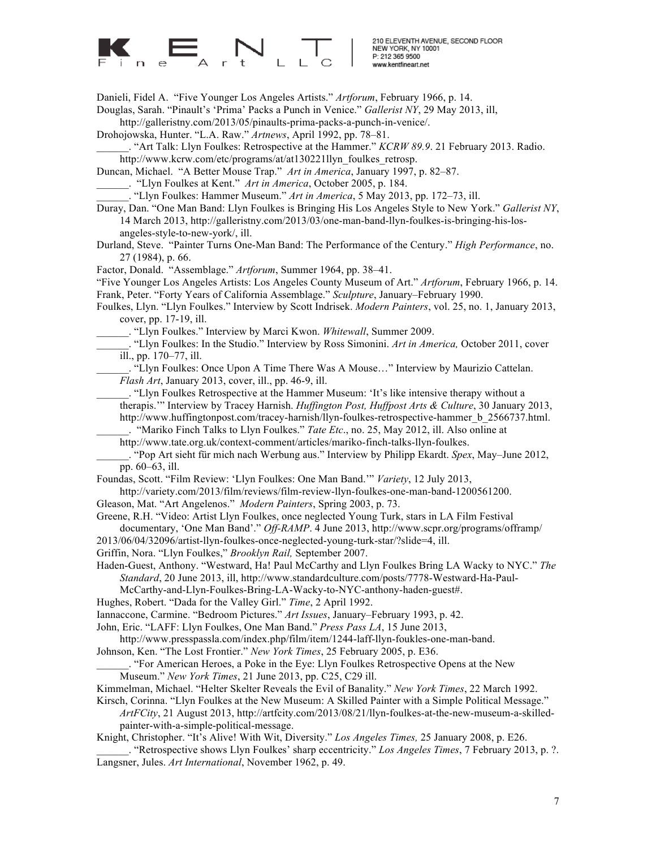

Danieli, Fidel A. "Five Younger Los Angeles Artists." *Artforum*, February 1966, p. 14. Douglas, Sarah. "Pinault's 'Prima' Packs a Punch in Venice." *Gallerist NY*, 29 May 2013, ill, http://galleristny.com/2013/05/pinaults-prima-packs-a-punch-in-venice/. Drohojowska, Hunter. "L.A. Raw." *Artnews*, April 1992, pp. 78–81. \_\_\_\_\_\_. "Art Talk: Llyn Foulkes: Retrospective at the Hammer." *KCRW 89.9*. 21 February 2013. Radio. http://www.kcrw.com/etc/programs/at/at130221llyn\_foulkes\_retrosp. Duncan, Michael. "A Better Mouse Trap." *Art in America*, January 1997, p. 82–87. \_\_\_\_\_\_. "Llyn Foulkes at Kent." *Art in America*, October 2005, p. 184. \_\_\_\_\_\_. "Llyn Foulkes: Hammer Museum." *Art in America*, 5 May 2013, pp. 172–73, ill. Duray, Dan. "One Man Band: Llyn Foulkes is Bringing His Los Angeles Style to New York." *Gallerist NY*, 14 March 2013, http://galleristny.com/2013/03/one-man-band-llyn-foulkes-is-bringing-his-losangeles-style-to-new-york/, ill. Durland, Steve. "Painter Turns One-Man Band: The Performance of the Century." *High Performance*, no. 27 (1984), p. 66. Factor, Donald. "Assemblage." *Artforum*, Summer 1964, pp. 38–41. "Five Younger Los Angeles Artists: Los Angeles County Museum of Art." *Artforum*, February 1966, p. 14. Frank, Peter. "Forty Years of California Assemblage." *Sculpture*, January–February 1990. Foulkes, Llyn. "Llyn Foulkes." Interview by Scott Indrisek. *Modern Painters*, vol. 25, no. 1, January 2013, cover, pp. 17-19, ill. \_\_\_\_\_\_. "Llyn Foulkes." Interview by Marci Kwon. *Whitewall*, Summer 2009. \_\_\_\_\_\_. "Llyn Foulkes: In the Studio." Interview by Ross Simonini. *Art in America,* October 2011, cover ill., pp. 170–77, ill. \_\_\_\_\_\_. "Llyn Foulkes: Once Upon A Time There Was A Mouse…" Interview by Maurizio Cattelan. *Flash Art*, January 2013, cover, ill., pp. 46-9, ill. \_\_\_\_\_\_. "Llyn Foulkes Retrospective at the Hammer Museum: 'It's like intensive therapy without a therapis.'" Interview by Tracey Harnish. *Huffington Post, Huffpost Arts & Culture*, 30 January 2013, http://www.huffingtonpost.com/tracey-harnish/llyn-foulkes-retrospective-hammer\_b\_2566737.html. \_\_\_\_\_\_. "Mariko Finch Talks to Llyn Foulkes." *Tate Etc*., no. 25, May 2012, ill. Also online at http://www.tate.org.uk/context-comment/articles/mariko-finch-talks-llyn-foulkes. \_\_\_\_\_\_. "Pop Art sieht für mich nach Werbung aus." Interview by Philipp Ekardt. *Spex*, May–June 2012, pp. 60–63, ill. Foundas, Scott. "Film Review: 'Llyn Foulkes: One Man Band.'" *Variety*, 12 July 2013, http://variety.com/2013/film/reviews/film-review-llyn-foulkes-one-man-band-1200561200. Gleason, Mat. "Art Angelenos." *Modern Painters*, Spring 2003, p. 73. Greene, R.H. "Video: Artist Llyn Foulkes, once neglected Young Turk, stars in LA Film Festival documentary, 'One Man Band'." *Off-RAMP*. 4 June 2013, http://www.scpr.org/programs/offramp/ 2013/06/04/32096/artist-llyn-foulkes-once-neglected-young-turk-star/?slide=4, ill. Griffin, Nora. "Llyn Foulkes," *Brooklyn Rail,* September 2007. Haden-Guest, Anthony. "Westward, Ha! Paul McCarthy and Llyn Foulkes Bring LA Wacky to NYC." *The Standard*, 20 June 2013, ill, http://www.standardculture.com/posts/7778-Westward-Ha-Paul-McCarthy-and-Llyn-Foulkes-Bring-LA-Wacky-to-NYC-anthony-haden-guest#. Hughes, Robert. "Dada for the Valley Girl." *Time*, 2 April 1992. Iannaccone, Carmine. "Bedroom Pictures." *Art Issues*, January–February 1993, p. 42. John, Eric. "LAFF: Llyn Foulkes, One Man Band." *Press Pass LA*, 15 June 2013, http://www.presspassla.com/index.php/film/item/1244-laff-llyn-foukles-one-man-band. Johnson, Ken. "The Lost Frontier." *New York Times*, 25 February 2005, p. E36. \_\_\_\_\_\_. "For American Heroes, a Poke in the Eye: Llyn Foulkes Retrospective Opens at the New Museum." *New York Times*, 21 June 2013, pp. C25, C29 ill. Kimmelman, Michael. "Helter Skelter Reveals the Evil of Banality." *New York Times*, 22 March 1992. Kirsch, Corinna. "Llyn Foulkes at the New Museum: A Skilled Painter with a Simple Political Message." *ArtFCity*, 21 August 2013, http://artfcity.com/2013/08/21/llyn-foulkes-at-the-new-museum-a-skilledpainter-with-a-simple-political-message. Knight, Christopher. "It's Alive! With Wit, Diversity." *Los Angeles Times,* 25 January 2008, p. E26. \_\_\_\_\_\_. "Retrospective shows Llyn Foulkes' sharp eccentricity." *Los Angeles Times*, 7 February 2013, p. ?. Langsner, Jules. *Art International*, November 1962, p. 49.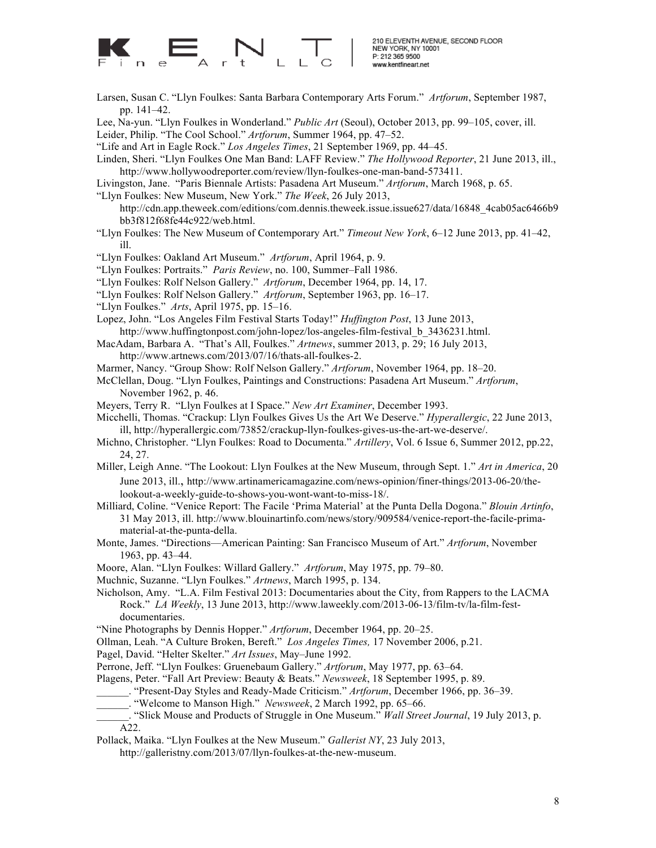

- Larsen, Susan C. "Llyn Foulkes: Santa Barbara Contemporary Arts Forum." *Artforum*, September 1987, pp. 141–42.
- Lee, Na-yun. "Llyn Foulkes in Wonderland." *Public Art* (Seoul), October 2013, pp. 99–105, cover, ill.
- Leider, Philip. "The Cool School." *Artforum*, Summer 1964, pp. 47–52.
- "Life and Art in Eagle Rock." *Los Angeles Times*, 21 September 1969, pp. 44–45.
- Linden, Sheri. "Llyn Foulkes One Man Band: LAFF Review." *The Hollywood Reporter*, 21 June 2013, ill., http://www.hollywoodreporter.com/review/llyn-foulkes-one-man-band-573411.
- Livingston, Jane. "Paris Biennale Artists: Pasadena Art Museum." *Artforum*, March 1968, p. 65.
- "Llyn Foulkes: New Museum, New York." *The Week*, 26 July 2013,
	- http://cdn.app.theweek.com/editions/com.dennis.theweek.issue.issue627/data/16848\_4cab05ac6466b9 bb3f812f68fe44c922/web.html.
- "Llyn Foulkes: The New Museum of Contemporary Art." *Timeout New York*, 6–12 June 2013, pp. 41–42, ill.
- "Llyn Foulkes: Oakland Art Museum." *Artforum*, April 1964, p. 9.
- "Llyn Foulkes: Portraits." *Paris Review*, no. 100, Summer–Fall 1986.
- "Llyn Foulkes: Rolf Nelson Gallery." *Artforum*, December 1964, pp. 14, 17.
- "Llyn Foulkes: Rolf Nelson Gallery." *Artforum*, September 1963, pp. 16–17.
- "Llyn Foulkes." *Arts*, April 1975, pp. 15–16.
- Lopez, John. "Los Angeles Film Festival Starts Today!" *Huffington Post*, 13 June 2013, http://www.huffingtonpost.com/john-lopez/los-angeles-film-festival\_b\_3436231.html.
- MacAdam, Barbara A. "That's All, Foulkes." *Artnews*, summer 2013, p. 29; 16 July 2013,
	- http://www.artnews.com/2013/07/16/thats-all-foulkes-2.
- Marmer, Nancy. "Group Show: Rolf Nelson Gallery." *Artforum*, November 1964, pp. 18–20.
- McClellan, Doug. "Llyn Foulkes, Paintings and Constructions: Pasadena Art Museum." *Artforum*, November 1962, p. 46.
- Meyers, Terry R. "Llyn Foulkes at I Space." *New Art Examiner*, December 1993.
- Micchelli, Thomas. "Crackup: Llyn Foulkes Gives Us the Art We Deserve." *Hyperallergic*, 22 June 2013, ill, http://hyperallergic.com/73852/crackup-llyn-foulkes-gives-us-the-art-we-deserve/.
- Michno, Christopher. "Llyn Foulkes: Road to Documenta." *Artillery*, Vol. 6 Issue 6, Summer 2012, pp.22, 24, 27.
- Miller, Leigh Anne. "The Lookout: Llyn Foulkes at the New Museum, through Sept. 1." *Art in America*, 20 June 2013, ill., http://www.artinamericamagazine.com/news-opinion/finer-things/2013-06-20/thelookout-a-weekly-guide-to-shows-you-wont-want-to-miss-18/.
- Milliard, Coline. "Venice Report: The Facile 'Prima Material' at the Punta Della Dogona." *Blouin Artinfo*, 31 May 2013, ill. http://www.blouinartinfo.com/news/story/909584/venice-report-the-facile-primamaterial-at-the-punta-della.
- Monte, James. "Directions—American Painting: San Francisco Museum of Art." *Artforum*, November 1963, pp. 43–44.
- Moore, Alan. "Llyn Foulkes: Willard Gallery." *Artforum*, May 1975, pp. 79–80.
- Muchnic, Suzanne. "Llyn Foulkes." *Artnews*, March 1995, p. 134.
- Nicholson, Amy. "L.A. Film Festival 2013: Documentaries about the City, from Rappers to the LACMA Rock." *LA Weekly*, 13 June 2013, http://www.laweekly.com/2013-06-13/film-tv/la-film-festdocumentaries.
- "Nine Photographs by Dennis Hopper." *Artforum*, December 1964, pp. 20–25.
- Ollman, Leah. "A Culture Broken, Bereft." *Los Angeles Times,* 17 November 2006, p.21.
- Pagel, David. "Helter Skelter." *Art Issues*, May–June 1992.
- Perrone, Jeff. "Llyn Foulkes: Gruenebaum Gallery." *Artforum*, May 1977, pp. 63–64.
- Plagens, Peter. "Fall Art Preview: Beauty & Beats." *Newsweek*, 18 September 1995, p. 89.
	- \_\_\_\_\_\_. "Present-Day Styles and Ready-Made Criticism." *Artforum*, December 1966, pp. 36–39.
- \_\_\_\_\_\_. "Welcome to Manson High." *Newsweek*, 2 March 1992, pp. 65–66.
- \_\_\_\_\_\_. "Slick Mouse and Products of Struggle in One Museum." *Wall Street Journal*, 19 July 2013, p. A22.
- Pollack, Maika. "Llyn Foulkes at the New Museum." *Gallerist NY*, 23 July 2013,
	- http://galleristny.com/2013/07/llyn-foulkes-at-the-new-museum.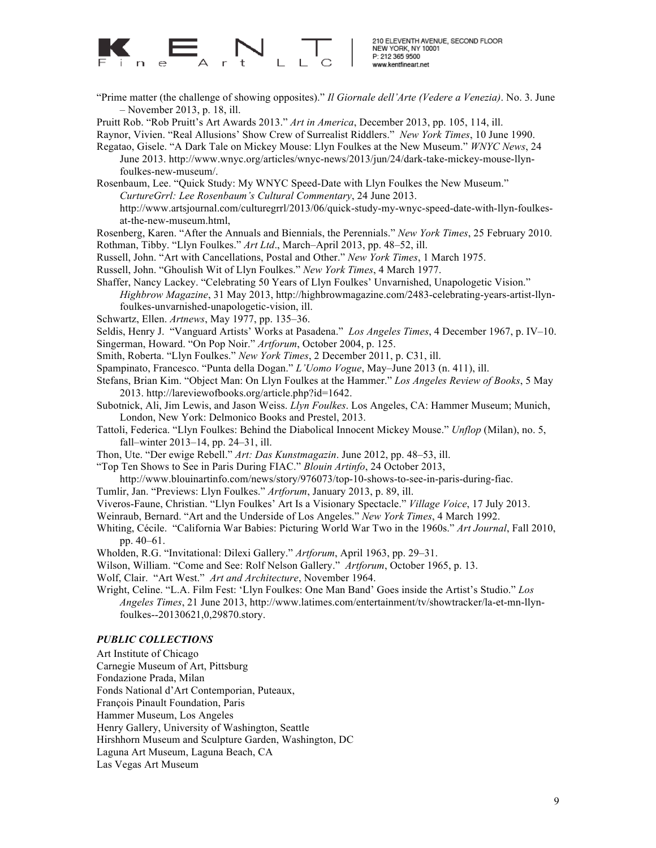

"Prime matter (the challenge of showing opposites)." *Il Giornale dell'Arte (Vedere a Venezia)*. No. 3. June – November 2013, p. 18, ill.

Pruitt Rob. "Rob Pruitt's Art Awards 2013." *Art in America*, December 2013, pp. 105, 114, ill.

Raynor, Vivien. "Real Allusions' Show Crew of Surrealist Riddlers." *New York Times*, 10 June 1990.

Regatao, Gisele. "A Dark Tale on Mickey Mouse: Llyn Foulkes at the New Museum." *WNYC News*, 24 June 2013. http://www.wnyc.org/articles/wnyc-news/2013/jun/24/dark-take-mickey-mouse-llynfoulkes-new-museum/.

Rosenbaum, Lee. "Quick Study: My WNYC Speed-Date with Llyn Foulkes the New Museum." *CurtureGrrl: Lee Rosenbaum's Cultural Commentary*, 24 June 2013.

http://www.artsjournal.com/culturegrrl/2013/06/quick-study-my-wnyc-speed-date-with-llyn-foulkesat-the-new-museum.html,

Rosenberg, Karen. "After the Annuals and Biennials, the Perennials." *New York Times*, 25 February 2010. Rothman, Tibby. "Llyn Foulkes." *Art Ltd*., March–April 2013, pp. 48–52, ill.

Russell, John. "Art with Cancellations, Postal and Other." *New York Times*, 1 March 1975.

Russell, John. "Ghoulish Wit of Llyn Foulkes." *New York Times*, 4 March 1977.

Shaffer, Nancy Lackey. "Celebrating 50 Years of Llyn Foulkes' Unvarnished, Unapologetic Vision."

*Highbrow Magazine*, 31 May 2013, http://highbrowmagazine.com/2483-celebrating-years-artist-llynfoulkes-unvarnished-unapologetic-vision, ill.

Schwartz, Ellen. *Artnews*, May 1977, pp. 135–36.

Seldis, Henry J. "Vanguard Artists' Works at Pasadena." *Los Angeles Times*, 4 December 1967, p. IV–10. Singerman, Howard. "On Pop Noir." *Artforum*, October 2004, p. 125.

Smith, Roberta. "Llyn Foulkes." *New York Times*, 2 December 2011, p. C31, ill.

Spampinato, Francesco. "Punta della Dogan." *L'Uomo Vogue*, May–June 2013 (n. 411), ill.

Stefans, Brian Kim. "Object Man: On Llyn Foulkes at the Hammer." *Los Angeles Review of Books*, 5 May 2013. http://lareviewofbooks.org/article.php?id=1642.

Subotnick, Ali, Jim Lewis, and Jason Weiss. *Llyn Foulkes*. Los Angeles, CA: Hammer Museum; Munich, London, New York: Delmonico Books and Prestel, 2013.

- Tattoli, Federica. "Llyn Foulkes: Behind the Diabolical Innocent Mickey Mouse." *Unflop* (Milan), no. 5, fall–winter 2013–14, pp. 24–31, ill.
- Thon, Ute. "Der ewige Rebell." *Art: Das Kunstmagazin*. June 2012, pp. 48–53, ill.

"Top Ten Shows to See in Paris During FIAC." *Blouin Artinfo*, 24 October 2013,

- http://www.blouinartinfo.com/news/story/976073/top-10-shows-to-see-in-paris-during-fiac.
- Tumlir, Jan. "Previews: Llyn Foulkes." *Artforum*, January 2013, p. 89, ill.

Viveros-Faune, Christian. "Llyn Foulkes' Art Is a Visionary Spectacle." *Village Voice*, 17 July 2013.

Weinraub, Bernard. "Art and the Underside of Los Angeles." *New York Times*, 4 March 1992.

Whiting, Cécile. "California War Babies: Picturing World War Two in the 1960s." *Art Journal*, Fall 2010, pp. 40–61.

Wholden, R.G. "Invitational: Dilexi Gallery." *Artforum*, April 1963, pp. 29–31.

Wilson, William. "Come and See: Rolf Nelson Gallery." *Artforum*, October 1965, p. 13.

Wolf, Clair. "Art West." *Art and Architecture*, November 1964.

Wright, Celine. "L.A. Film Fest: 'Llyn Foulkes: One Man Band' Goes inside the Artist's Studio." *Los Angeles Times*, 21 June 2013, http://www.latimes.com/entertainment/tv/showtracker/la-et-mn-llynfoulkes--20130621,0,29870.story.

### *PUBLIC COLLECTIONS*

Art Institute of Chicago Carnegie Museum of Art, Pittsburg Fondazione Prada, Milan Fonds National d'Art Contemporian, Puteaux, François Pinault Foundation, Paris Hammer Museum, Los Angeles Henry Gallery, University of Washington, Seattle Hirshhorn Museum and Sculpture Garden, Washington, DC Laguna Art Museum, Laguna Beach, CA Las Vegas Art Museum